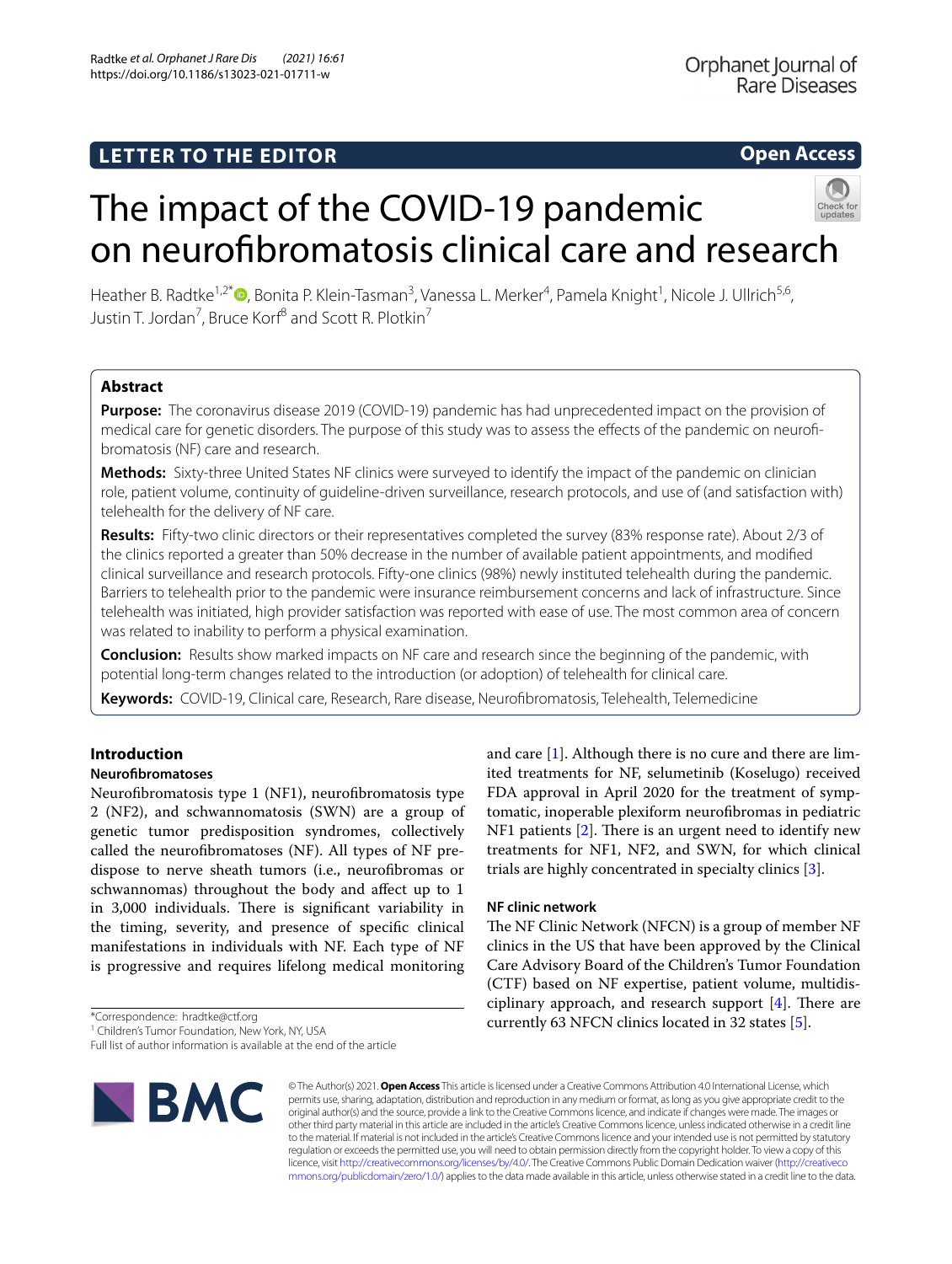# **Open Access**



# The impact of the COVID-19 pandemic on neurofbromatosis clinical care and research

Heather B. Radtke<sup>1,2[\\*](http://orcid.org/0000-0003-1557-7390)</sup>®, Bonita P. Klein-Tasman<sup>3</sup>, Vanessa L. Merker<sup>4</sup>, Pamela Knight<sup>1</sup>, Nicole J. Ullrich<sup>5,6</sup>, Justin T. Jordan<sup>7</sup>, Bruce Korf<sup>8</sup> and Scott R. Plotkin<sup>7</sup>

# **Abstract**

**Purpose:** The coronavirus disease 2019 (COVID-19) pandemic has had unprecedented impact on the provision of medical care for genetic disorders. The purpose of this study was to assess the effects of the pandemic on neurofibromatosis (NF) care and research.

**Methods:** Sixty-three United States NF clinics were surveyed to identify the impact of the pandemic on clinician role, patient volume, continuity of guideline-driven surveillance, research protocols, and use of (and satisfaction with) telehealth for the delivery of NF care.

**Results:** Fifty-two clinic directors or their representatives completed the survey (83% response rate). About 2/3 of the clinics reported a greater than 50% decrease in the number of available patient appointments, and modifed clinical surveillance and research protocols. Fifty-one clinics (98%) newly instituted telehealth during the pandemic. Barriers to telehealth prior to the pandemic were insurance reimbursement concerns and lack of infrastructure. Since telehealth was initiated, high provider satisfaction was reported with ease of use. The most common area of concern was related to inability to perform a physical examination.

**Conclusion:** Results show marked impacts on NF care and research since the beginning of the pandemic, with potential long-term changes related to the introduction (or adoption) of telehealth for clinical care.

**Keywords:** COVID-19, Clinical care, Research, Rare disease, Neurofbromatosis, Telehealth, Telemedicine

# **Introduction**

# **Neurofbromatoses**

Neurofibromatosis type 1 (NF1), neurofibromatosis type 2 (NF2), and schwannomatosis (SWN) are a group of genetic tumor predisposition syndromes, collectively called the neurofbromatoses (NF). All types of NF predispose to nerve sheath tumors (i.e., neurofbromas or schwannomas) throughout the body and afect up to 1 in 3,000 individuals. There is significant variability in the timing, severity, and presence of specifc clinical manifestations in individuals with NF. Each type of NF is progressive and requires lifelong medical monitoring

\*Correspondence: hradtke@ctf.org

Full list of author information is available at the end of the article



ited treatments for NF, selumetinib (Koselugo) received FDA approval in April 2020 for the treatment of symptomatic, inoperable plexiform neurofbromas in pediatric NF1 patients  $[2]$  $[2]$  $[2]$ . There is an urgent need to identify new treatments for NF1, NF2, and SWN, for which clinical trials are highly concentrated in specialty clinics [[3\]](#page-4-2).

and care [\[1](#page-4-0)]. Although there is no cure and there are lim-

# **NF clinic network**

The NF Clinic Network (NFCN) is a group of member NF clinics in the US that have been approved by the Clinical Care Advisory Board of the Children's Tumor Foundation (CTF) based on NF expertise, patient volume, multidisciplinary approach, and research support  $[4]$  $[4]$ . There are currently 63 NFCN clinics located in 32 states [\[5](#page-4-4)].

© The Author(s) 2021. **Open Access** This article is licensed under a Creative Commons Attribution 4.0 International License, which permits use, sharing, adaptation, distribution and reproduction in any medium or format, as long as you give appropriate credit to the original author(s) and the source, provide a link to the Creative Commons licence, and indicate if changes were made. The images or other third party material in this article are included in the article's Creative Commons licence, unless indicated otherwise in a credit line to the material. If material is not included in the article's Creative Commons licence and your intended use is not permitted by statutory regulation or exceeds the permitted use, you will need to obtain permission directly from the copyright holder. To view a copy of this licence, visit [http://creativecommons.org/licenses/by/4.0/.](http://creativecommons.org/licenses/by/4.0/) The Creative Commons Public Domain Dedication waiver ([http://creativeco](http://creativecommons.org/publicdomain/zero/1.0/) [mmons.org/publicdomain/zero/1.0/](http://creativecommons.org/publicdomain/zero/1.0/)) applies to the data made available in this article, unless otherwise stated in a credit line to the data.

<sup>&</sup>lt;sup>1</sup> Children's Tumor Foundation, New York, NY, USA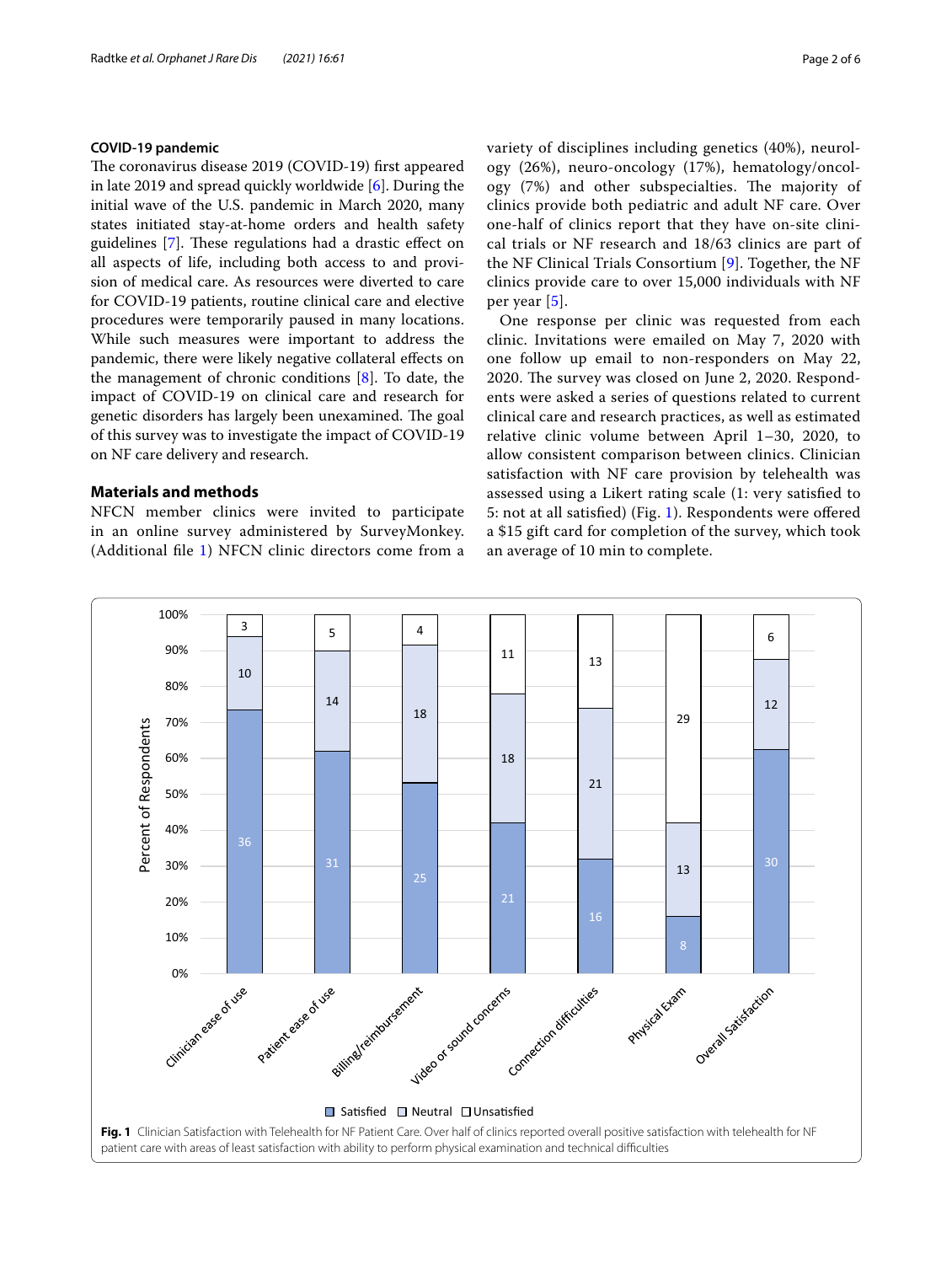# **COVID‑19 pandemic**

The coronavirus disease 2019 (COVID-19) first appeared in late 2019 and spread quickly worldwide [\[6](#page-4-5)]. During the initial wave of the U.S. pandemic in March 2020, many states initiated stay-at-home orders and health safety guidelines [[7\]](#page-4-6). These regulations had a drastic effect on all aspects of life, including both access to and provision of medical care. As resources were diverted to care for COVID-19 patients, routine clinical care and elective procedures were temporarily paused in many locations. While such measures were important to address the pandemic, there were likely negative collateral efects on the management of chronic conditions [\[8](#page-4-7)]. To date, the impact of COVID-19 on clinical care and research for genetic disorders has largely been unexamined. The goal of this survey was to investigate the impact of COVID-19 on NF care delivery and research.

# **Materials and methods**

NFCN member clinics were invited to participate in an online survey administered by SurveyMonkey. (Additional fle [1\)](#page-4-8) NFCN clinic directors come from a variety of disciplines including genetics (40%), neurology (26%), neuro-oncology (17%), hematology/oncology (7%) and other subspecialties. The majority of clinics provide both pediatric and adult NF care. Over one-half of clinics report that they have on-site clinical trials or NF research and 18/63 clinics are part of the NF Clinical Trials Consortium [[9\]](#page-4-9). Together, the NF clinics provide care to over 15,000 individuals with NF per year [[5\]](#page-4-4).

One response per clinic was requested from each clinic. Invitations were emailed on May 7, 2020 with one follow up email to non-responders on May 22, 2020. The survey was closed on June 2, 2020. Respondents were asked a series of questions related to current clinical care and research practices, as well as estimated relative clinic volume between April 1–30, 2020, to allow consistent comparison between clinics. Clinician satisfaction with NF care provision by telehealth was assessed using a Likert rating scale (1: very satisfed to 5: not at all satisfed) (Fig. [1](#page-1-0)). Respondents were ofered a \$15 gift card for completion of the survey, which took an average of 10 min to complete.

<span id="page-1-0"></span>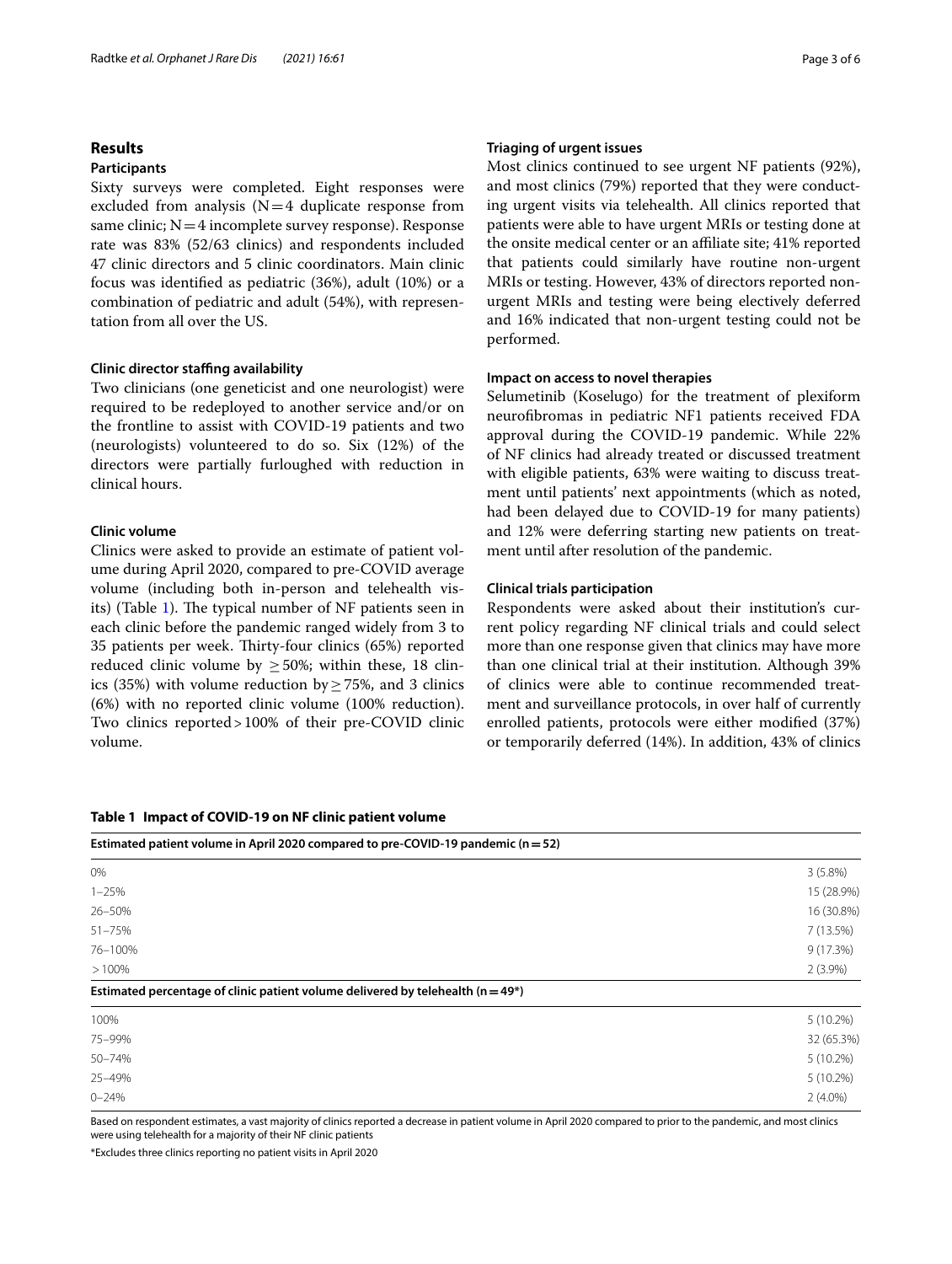# **Results**

### **Participants**

Sixty surveys were completed. Eight responses were excluded from analysis  $(N=4$  duplicate response from same clinic;  $N=4$  incomplete survey response). Response rate was 83% (52/63 clinics) and respondents included 47 clinic directors and 5 clinic coordinators. Main clinic focus was identifed as pediatric (36%), adult (10%) or a combination of pediatric and adult (54%), with representation from all over the US.

#### **Clinic director stafng availability**

Two clinicians (one geneticist and one neurologist) were required to be redeployed to another service and/or on the frontline to assist with COVID-19 patients and two (neurologists) volunteered to do so. Six (12%) of the directors were partially furloughed with reduction in clinical hours.

# **Clinic volume**

Clinics were asked to provide an estimate of patient volume during April 2020, compared to pre-COVID average volume (including both in-person and telehealth vis-its) (Table [1](#page-2-0)). The typical number of NF patients seen in each clinic before the pandemic ranged widely from 3 to 35 patients per week. Thirty-four clinics (65%) reported reduced clinic volume by  $\geq$  50%; within these, 18 clinics (35%) with volume reduction by  $\geq$  75%, and 3 clinics (6%) with no reported clinic volume (100% reduction). Two clinics reported>100% of their pre-COVID clinic volume.

#### <span id="page-2-0"></span>**Table 1 Impact of COVID-19 on NF clinic patient volume**

# **Triaging of urgent issues**

Most clinics continued to see urgent NF patients (92%), and most clinics (79%) reported that they were conducting urgent visits via telehealth. All clinics reported that patients were able to have urgent MRIs or testing done at the onsite medical center or an afliate site; 41% reported that patients could similarly have routine non-urgent MRIs or testing. However, 43% of directors reported nonurgent MRIs and testing were being electively deferred and 16% indicated that non-urgent testing could not be performed.

# **Impact on access to novel therapies**

Selumetinib (Koselugo) for the treatment of plexiform neurofbromas in pediatric NF1 patients received FDA approval during the COVID-19 pandemic. While 22% of NF clinics had already treated or discussed treatment with eligible patients, 63% were waiting to discuss treatment until patients' next appointments (which as noted, had been delayed due to COVID-19 for many patients) and 12% were deferring starting new patients on treatment until after resolution of the pandemic.

#### **Clinical trials participation**

Respondents were asked about their institution's current policy regarding NF clinical trials and could select more than one response given that clinics may have more than one clinical trial at their institution. Although 39% of clinics were able to continue recommended treatment and surveillance protocols, in over half of currently enrolled patients, protocols were either modifed (37%) or temporarily deferred (14%). In addition, 43% of clinics

| Estimated patient volume in April 2020 compared to pre-COVID-19 pandemic ( $n = 52$ ) |             |
|---------------------------------------------------------------------------------------|-------------|
| 0%                                                                                    | $3(5.8\%)$  |
| $1 - 25%$                                                                             | 15 (28.9%)  |
| 26-50%                                                                                | 16 (30.8%)  |
| $51 - 75%$                                                                            | 7(13.5%)    |
| 76-100%                                                                               | 9(17.3%)    |
| >100%                                                                                 | $2(3.9\%)$  |
| Estimated percentage of clinic patient volume delivered by telehealth ( $n = 49*$ )   |             |
| 100%                                                                                  | $5(10.2\%)$ |
| 75-99%                                                                                | 32 (65.3%)  |
| 50-74%                                                                                | $5(10.2\%)$ |
| 25-49%                                                                                | $5(10.2\%)$ |
| $0 - 24%$                                                                             | $2(4.0\%)$  |

Based on respondent estimates, a vast majority of clinics reported a decrease in patient volume in April 2020 compared to prior to the pandemic, and most clinics were using telehealth for a majority of their NF clinic patients

\*Excludes three clinics reporting no patient visits in April 2020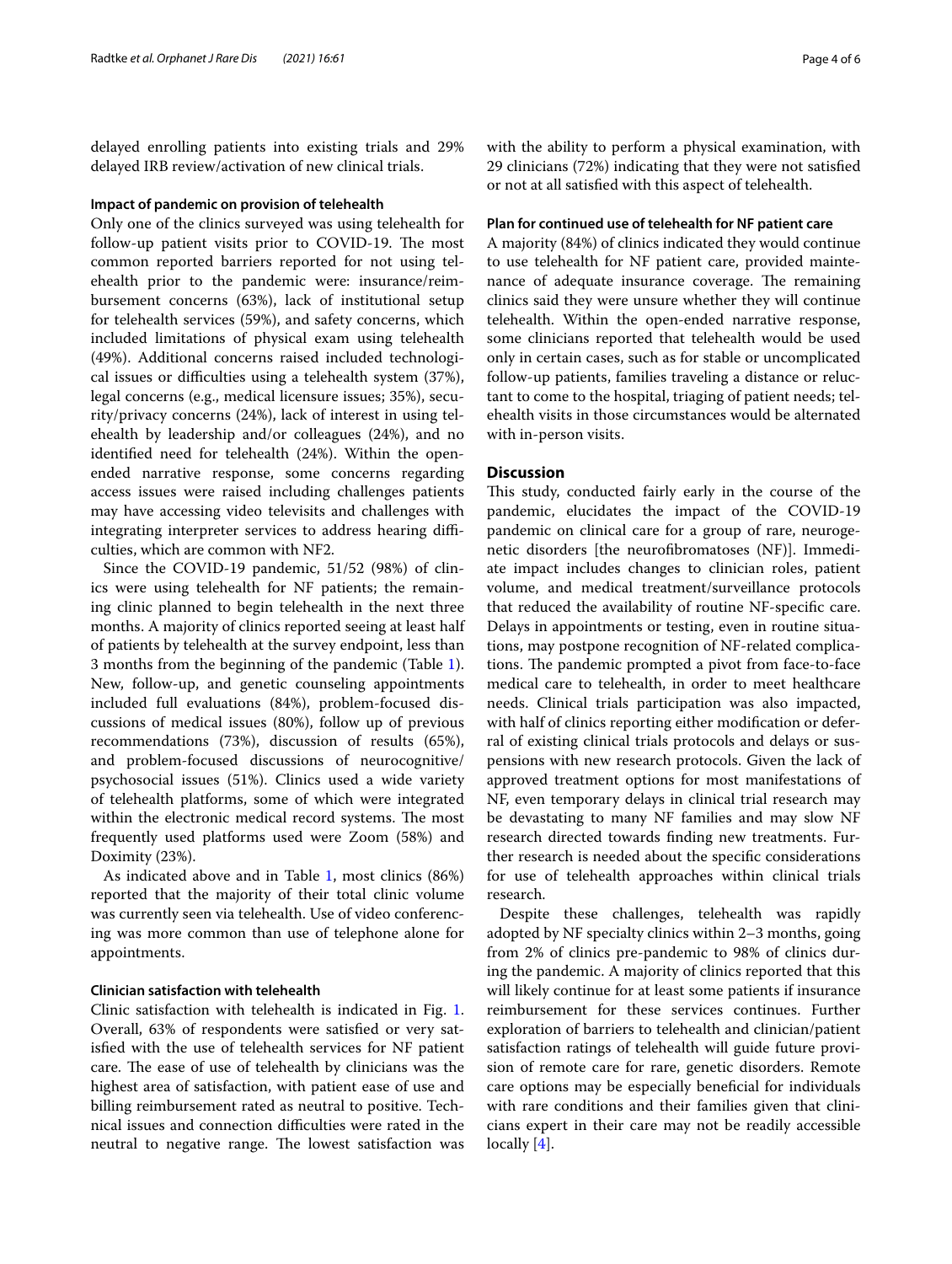delayed enrolling patients into existing trials and 29% delayed IRB review/activation of new clinical trials.

#### **Impact of pandemic on provision of telehealth**

Only one of the clinics surveyed was using telehealth for follow-up patient visits prior to COVID-19. The most common reported barriers reported for not using telehealth prior to the pandemic were: insurance/reimbursement concerns (63%), lack of institutional setup for telehealth services (59%), and safety concerns, which included limitations of physical exam using telehealth (49%). Additional concerns raised included technological issues or difficulties using a telehealth system (37%), legal concerns (e.g., medical licensure issues; 35%), security/privacy concerns (24%), lack of interest in using telehealth by leadership and/or colleagues (24%), and no identifed need for telehealth (24%). Within the openended narrative response, some concerns regarding access issues were raised including challenges patients may have accessing video televisits and challenges with integrating interpreter services to address hearing difficulties, which are common with NF2.

Since the COVID-19 pandemic, 51/52 (98%) of clinics were using telehealth for NF patients; the remaining clinic planned to begin telehealth in the next three months. A majority of clinics reported seeing at least half of patients by telehealth at the survey endpoint, less than 3 months from the beginning of the pandemic (Table [1](#page-2-0)). New, follow-up, and genetic counseling appointments included full evaluations (84%), problem-focused discussions of medical issues (80%), follow up of previous recommendations (73%), discussion of results (65%), and problem-focused discussions of neurocognitive/ psychosocial issues (51%). Clinics used a wide variety of telehealth platforms, some of which were integrated within the electronic medical record systems. The most frequently used platforms used were Zoom (58%) and Doximity (23%).

As indicated above and in Table [1](#page-2-0), most clinics (86%) reported that the majority of their total clinic volume was currently seen via telehealth. Use of video conferencing was more common than use of telephone alone for appointments.

### **Clinician satisfaction with telehealth**

Clinic satisfaction with telehealth is indicated in Fig. [1](#page-1-0). Overall, 63% of respondents were satisfed or very satisfed with the use of telehealth services for NF patient care. The ease of use of telehealth by clinicians was the highest area of satisfaction, with patient ease of use and billing reimbursement rated as neutral to positive. Technical issues and connection difficulties were rated in the neutral to negative range. The lowest satisfaction was with the ability to perform a physical examination, with 29 clinicians (72%) indicating that they were not satisfed or not at all satisfed with this aspect of telehealth.

# **Plan for continued use of telehealth for NF patient care**

A majority (84%) of clinics indicated they would continue to use telehealth for NF patient care, provided maintenance of adequate insurance coverage. The remaining clinics said they were unsure whether they will continue telehealth. Within the open-ended narrative response, some clinicians reported that telehealth would be used only in certain cases, such as for stable or uncomplicated follow-up patients, families traveling a distance or reluctant to come to the hospital, triaging of patient needs; telehealth visits in those circumstances would be alternated with in-person visits.

# **Discussion**

This study, conducted fairly early in the course of the pandemic, elucidates the impact of the COVID-19 pandemic on clinical care for a group of rare, neurogenetic disorders [the neurofbromatoses (NF)]. Immediate impact includes changes to clinician roles, patient volume, and medical treatment/surveillance protocols that reduced the availability of routine NF-specifc care. Delays in appointments or testing, even in routine situations, may postpone recognition of NF-related complications. The pandemic prompted a pivot from face-to-face medical care to telehealth, in order to meet healthcare needs. Clinical trials participation was also impacted, with half of clinics reporting either modifcation or deferral of existing clinical trials protocols and delays or suspensions with new research protocols. Given the lack of approved treatment options for most manifestations of NF, even temporary delays in clinical trial research may be devastating to many NF families and may slow NF research directed towards fnding new treatments. Further research is needed about the specifc considerations for use of telehealth approaches within clinical trials research.

Despite these challenges, telehealth was rapidly adopted by NF specialty clinics within 2–3 months, going from 2% of clinics pre-pandemic to 98% of clinics during the pandemic. A majority of clinics reported that this will likely continue for at least some patients if insurance reimbursement for these services continues. Further exploration of barriers to telehealth and clinician/patient satisfaction ratings of telehealth will guide future provision of remote care for rare, genetic disorders. Remote care options may be especially benefcial for individuals with rare conditions and their families given that clinicians expert in their care may not be readily accessible locally [[4\]](#page-4-3).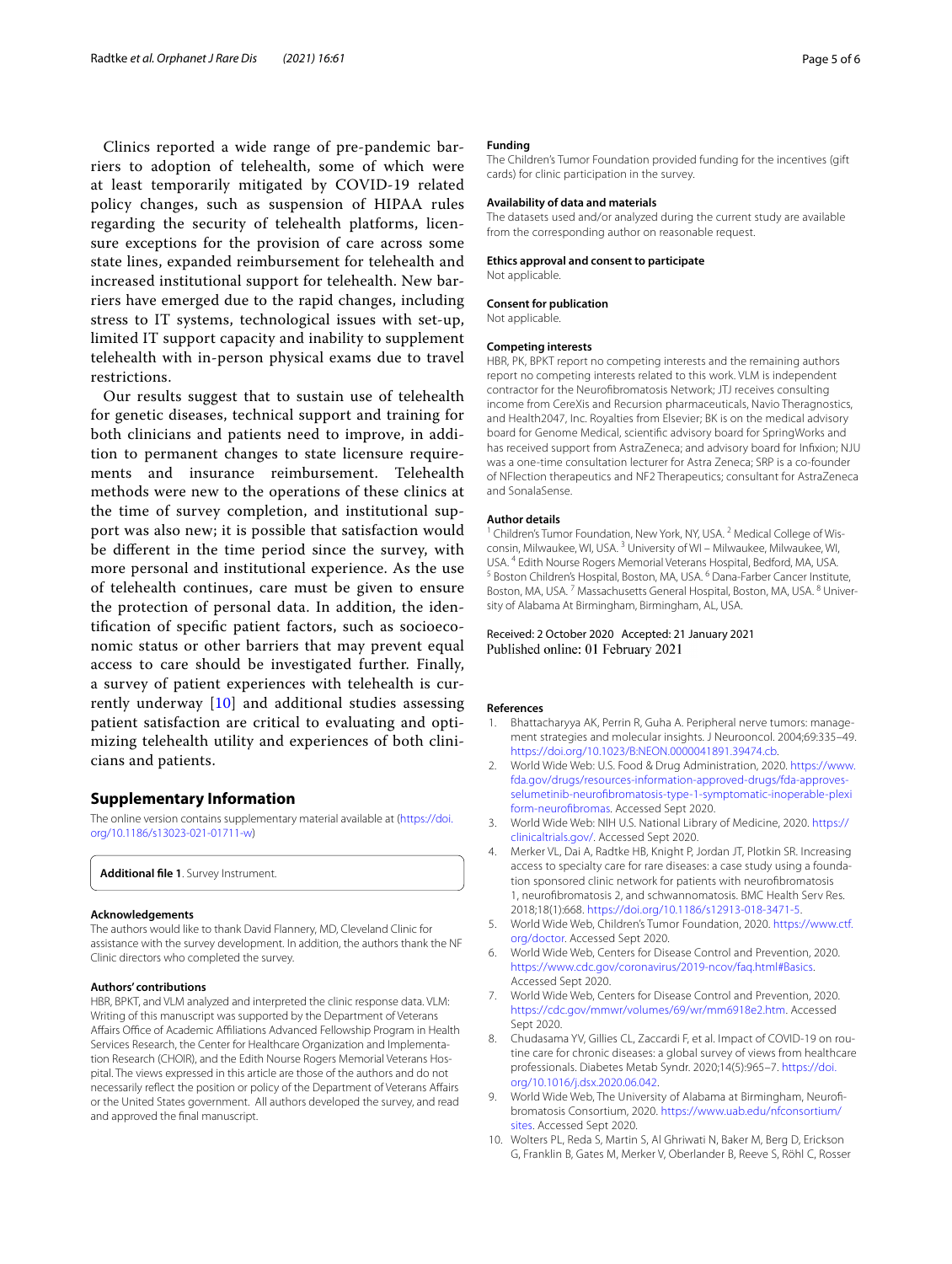Clinics reported a wide range of pre-pandemic barriers to adoption of telehealth, some of which were at least temporarily mitigated by COVID-19 related policy changes, such as suspension of HIPAA rules regarding the security of telehealth platforms, licensure exceptions for the provision of care across some state lines, expanded reimbursement for telehealth and increased institutional support for telehealth. New barriers have emerged due to the rapid changes, including stress to IT systems, technological issues with set-up, limited IT support capacity and inability to supplement telehealth with in-person physical exams due to travel restrictions.

Our results suggest that to sustain use of telehealth for genetic diseases, technical support and training for both clinicians and patients need to improve, in addition to permanent changes to state licensure requirements and insurance reimbursement. Telehealth methods were new to the operations of these clinics at the time of survey completion, and institutional support was also new; it is possible that satisfaction would be diferent in the time period since the survey, with more personal and institutional experience. As the use of telehealth continues, care must be given to ensure the protection of personal data. In addition, the identifcation of specifc patient factors, such as socioeconomic status or other barriers that may prevent equal access to care should be investigated further. Finally, a survey of patient experiences with telehealth is currently underway [[10\]](#page-4-10) and additional studies assessing patient satisfaction are critical to evaluating and optimizing telehealth utility and experiences of both clinicians and patients.

#### **Supplementary Information**

The online version contains supplementary material available at [\(https://doi.](https://doi.org/10.1186/s13023-021-01711-w) [org/10.1186/s13023-021-01711-w\)](https://doi.org/10.1186/s13023-021-01711-w)

<span id="page-4-8"></span>**Additional fle 1**. Survey Instrument.

#### **Acknowledgements**

The authors would like to thank David Flannery, MD, Cleveland Clinic for assistance with the survey development. In addition, the authors thank the NF Clinic directors who completed the survey.

#### **Authors' contributions**

HBR, BPKT, and VLM analyzed and interpreted the clinic response data. VLM: Writing of this manuscript was supported by the Department of Veterans Affairs Office of Academic Affiliations Advanced Fellowship Program in Health Services Research, the Center for Healthcare Organization and Implementation Research (CHOIR), and the Edith Nourse Rogers Memorial Veterans Hospital. The views expressed in this article are those of the authors and do not necessarily refect the position or policy of the Department of Veterans Afairs or the United States government. All authors developed the survey, and read and approved the fnal manuscript.

#### **Funding**

The Children's Tumor Foundation provided funding for the incentives (gift cards) for clinic participation in the survey.

#### **Availability of data and materials**

The datasets used and/or analyzed during the current study are available from the corresponding author on reasonable request.

#### **Ethics approval and consent to participate**

Not applicable.

#### **Consent for publication**

Not applicable.

#### **Competing interests**

HBR, PK, BPKT report no competing interests and the remaining authors report no competing interests related to this work. VLM is independent contractor for the Neurofbromatosis Network; JTJ receives consulting income from CereXis and Recursion pharmaceuticals, Navio Theragnostics, and Health2047, Inc. Royalties from Elsevier; BK is on the medical advisory board for Genome Medical, scientifc advisory board for SpringWorks and has received support from AstraZeneca; and advisory board for Infxion; NJU was a one-time consultation lecturer for Astra Zeneca; SRP is a co-founder of NFlection therapeutics and NF2 Therapeutics; consultant for AstraZeneca and SonalaSense.

#### **Author details**

<sup>1</sup> Children's Tumor Foundation, New York, NY, USA.<sup>2</sup> Medical College of Wisconsin, Milwaukee, WI, USA. 3 University of WI – Milwaukee, Milwaukee, WI, USA. <sup>4</sup> Edith Nourse Rogers Memorial Veterans Hospital, Bedford, MA, USA.<br><sup>5</sup> Boston Children's Hospital, Boston, MA, USA. <sup>6</sup> Dana-Farber Cancer Institute, Boston, MA, USA.<sup>7</sup> Massachusetts General Hospital, Boston, MA, USA.<sup>8</sup> University of Alabama At Birmingham, Birmingham, AL, USA.

#### Received: 2 October 2020 Accepted: 21 January 2021 Published online: 01 February 2021

#### **References**

- <span id="page-4-0"></span>Bhattacharyya AK, Perrin R, Guha A. Peripheral nerve tumors: management strategies and molecular insights. J Neurooncol. 2004;69:335–49. <https://doi.org/10.1023/B:NEON.0000041891.39474.cb>.
- <span id="page-4-1"></span>2. World Wide Web: U.S. Food & Drug Administration, 2020. [https://www.](https://www.fda.gov/drugs/resources-information-approved-drugs/fda-approves-selumetinib-neurofibromatosis-type-1-symptomatic-inoperable-plexiform-neurofibromas) [fda.gov/drugs/resources-information-approved-drugs/fda-approves](https://www.fda.gov/drugs/resources-information-approved-drugs/fda-approves-selumetinib-neurofibromatosis-type-1-symptomatic-inoperable-plexiform-neurofibromas)[selumetinib-neurofbromatosis-type-1-symptomatic-inoperable-plexi](https://www.fda.gov/drugs/resources-information-approved-drugs/fda-approves-selumetinib-neurofibromatosis-type-1-symptomatic-inoperable-plexiform-neurofibromas) [form-neurofbromas.](https://www.fda.gov/drugs/resources-information-approved-drugs/fda-approves-selumetinib-neurofibromatosis-type-1-symptomatic-inoperable-plexiform-neurofibromas) Accessed Sept 2020.
- <span id="page-4-2"></span>3. World Wide Web: NIH U.S. National Library of Medicine, 2020. [https://](https://clinicaltrials.gov/) [clinicaltrials.gov/](https://clinicaltrials.gov/). Accessed Sept 2020.
- <span id="page-4-3"></span>4. Merker VL, Dai A, Radtke HB, Knight P, Jordan JT, Plotkin SR. Increasing access to specialty care for rare diseases: a case study using a foundation sponsored clinic network for patients with neurofbromatosis 1, neurofbromatosis 2, and schwannomatosis. BMC Health Serv Res. 2018;18(1):668. [https://doi.org/10.1186/s12913-018-3471-5.](https://doi.org/10.1186/s12913-018-3471-5)
- <span id="page-4-4"></span>5. World Wide Web, Children's Tumor Foundation, 2020. [https://www.ctf.](https://www.ctf.org/doctor) [org/doctor](https://www.ctf.org/doctor). Accessed Sept 2020.
- <span id="page-4-5"></span>6. World Wide Web, Centers for Disease Control and Prevention, 2020. [https://www.cdc.gov/coronavirus/2019-ncov/faq.html#Basics.](https://www.cdc.gov/coronavirus/2019-ncov/faq.html#Basics) Accessed Sept 2020.
- <span id="page-4-6"></span>7. World Wide Web, Centers for Disease Control and Prevention, 2020. [https://cdc.gov/mmwr/volumes/69/wr/mm6918e2.htm.](https://cdc.gov/mmwr/volumes/69/wr/mm6918e2.htm) Accessed Sept 2020.
- <span id="page-4-7"></span>8. Chudasama YV, Gillies CL, Zaccardi F, et al. Impact of COVID-19 on routine care for chronic diseases: a global survey of views from healthcare professionals. Diabetes Metab Syndr. 2020;14(5):965–7. [https://doi.](https://doi.org/10.1016/j.dsx.2020.06.042) [org/10.1016/j.dsx.2020.06.042](https://doi.org/10.1016/j.dsx.2020.06.042).
- <span id="page-4-9"></span>9. World Wide Web, The University of Alabama at Birmingham, Neurofibromatosis Consortium, 2020. [https://www.uab.edu/nfconsortium/](https://www.uab.edu/nfconsortium/sites) [sites](https://www.uab.edu/nfconsortium/sites). Accessed Sept 2020.
- <span id="page-4-10"></span>10. Wolters PL, Reda S, Martin S, Al Ghriwati N, Baker M, Berg D, Erickson G, Franklin B, Gates M, Merker V, Oberlander B, Reeve S, Röhl C, Rosser